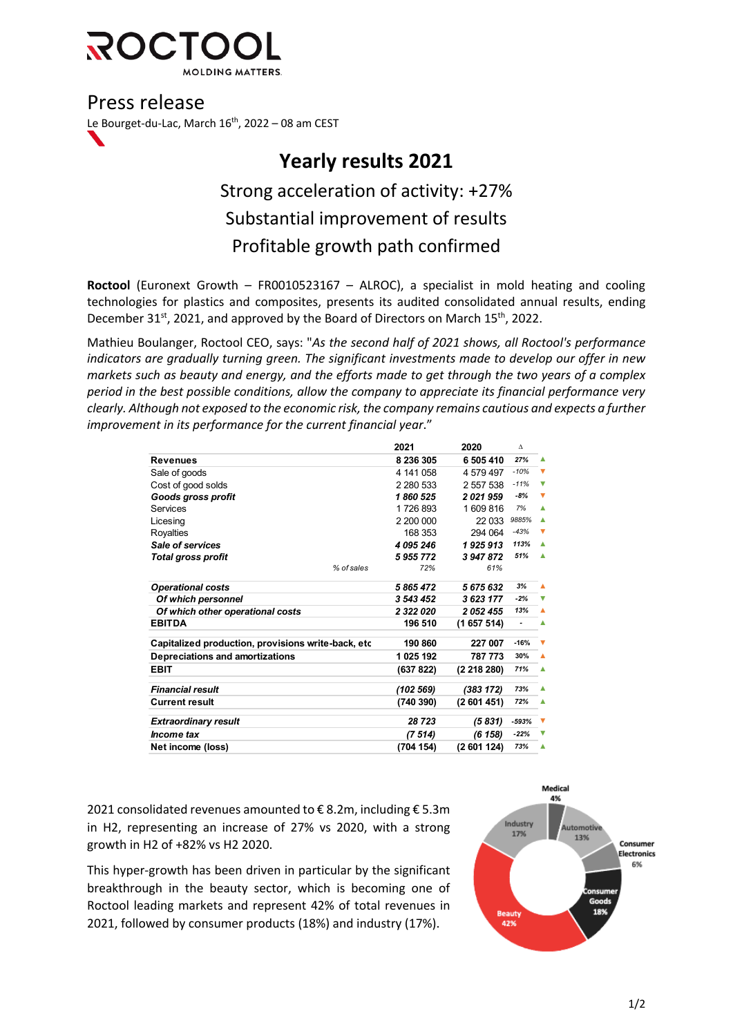

### Press release

Le Bourget-du-Lac, March  $16^{th}$ , 2022 – 08 am CEST

## **Yearly results 2021**

# Strong acceleration of activity: +27% Substantial improvement of results Profitable growth path confirmed

**Roctool** (Euronext Growth – FR0010523167 – ALROC), a specialist in mold heating and cooling technologies for plastics and composites, presents its audited consolidated annual results, ending December 31<sup>st</sup>, 2021, and approved by the Board of Directors on March 15<sup>th</sup>, 2022.

Mathieu Boulanger, Roctool CEO, says: "*As the second half of 2021 shows, all Roctool's performance indicators are gradually turning green. The significant investments made to develop our offer in new markets such as beauty and energy, and the efforts made to get through the two years of a complex period in the best possible conditions, allow the company to appreciate its financial performance very clearly. Although not exposed to the economic risk, the company remains cautious and expects a further improvement in its performance for the current financial year*."

|                                                    | 2021          | 2020        | Δ                        |   |
|----------------------------------------------------|---------------|-------------|--------------------------|---|
| <b>Revenues</b>                                    | 8 236 305     | 6 505 410   | 27%                      |   |
| Sale of goods                                      | 4 141 058     | 4 579 497   | $-10%$                   | v |
| Cost of good solds                                 | 2 2 8 0 5 3 3 | 2 557 538   | $-11%$                   | v |
| Goods gross profit                                 | 1860 525      | 2021959     | $-8%$                    | ▼ |
| Services                                           | 1726893       | 1609816     | 7%                       | Δ |
| Licesing                                           | 2 200 000     | 22 033      | 9885%                    | Δ |
| Royalties                                          | 168 353       | 294 064     | $-43%$                   | ▼ |
| <b>Sale of services</b>                            | 4 095 246     | 1925913     | 113%                     | Δ |
| <b>Total gross profit</b>                          | 5955772       | 3 947 872   | 51%                      | Δ |
| % of sales                                         | 72%           | 61%         |                          |   |
| <b>Operational costs</b>                           | 5865472       | 5 675 632   | 3%                       | ▲ |
| Of which personnel                                 | 3 543 452     | 3 623 177   | $-2%$                    | ▼ |
| Of which other operational costs                   | 2 322 020     | 2052455     | 13%                      | ▲ |
| <b>EBITDA</b>                                      | 196 510       | (1657514)   | $\overline{\phantom{a}}$ | ▲ |
| Capitalized production, provisions write-back, etc | 190 860       | 227 007     | $-16%$                   | ▼ |
| <b>Depreciations and amortizations</b>             | 1025 192      | 787 773     | 30%                      | ▲ |
| <b>EBIT</b>                                        | (637 822)     | (2 218 280) | 71%                      | ▲ |
| <b>Financial result</b>                            | (102 569)     | (383 172)   | 73%                      |   |
| <b>Current result</b>                              | (740 390)     | (2601451)   | 72%                      | Δ |
| Extraordinary result                               | 28723         | (5 831)     | $-593%$                  | ▼ |
| Income tax                                         | (7514)        | (6158)      | $-22%$                   | v |
| Net income (loss)                                  | (704 154)     | (2601124)   | 73%                      | ▲ |

2021 consolidated revenues amounted to € 8.2m, including € 5.3m in H2, representing an increase of 27% vs 2020, with a strong growth in H2 of +82% vs H2 2020.

This hyper-growth has been driven in particular by the significant breakthrough in the beauty sector, which is becoming one of Roctool leading markets and represent 42% of total revenues in 2021, followed by consumer products (18%) and industry (17%).